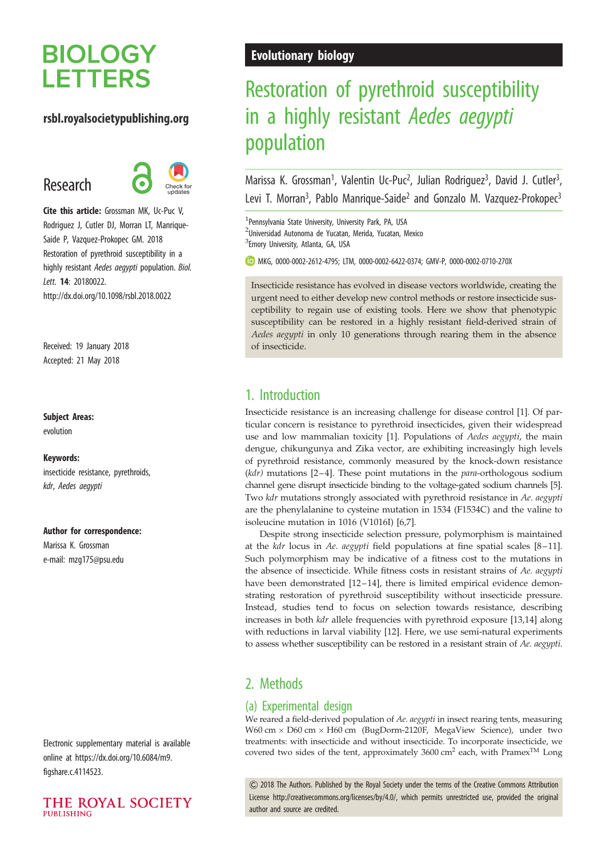# **BIOLOGY LETTERS**

# rsbl.royalsocietypublishing.org

# Research



Cite this article: Grossman MK, Uc-Puc V, Rodriguez J, Cutler DJ, Morran LT, Manrique-Saide P, Vazquez-Prokopec GM. 2018 Restoration of pyrethroid susceptibility in a highly resistant Aedes aegypti population. Biol. Lett. 14: 20180022. http://dx.doi.org/10.1098/rsbl.2018.0022

Received: 19 January 2018 Accepted: 21 May 2018

### Subject Areas:

evolution

#### Keywords:

insecticide resistance, pyrethroids, kdr, Aedes aegypti

#### Author for correspondence:

Marissa K. Grossman e-mail: [mzg175@psu.edu](mailto:mzg175@psu.edu)

Electronic supplementary material is available online at [https://dx.doi.org/10.6084/m9.](https://dx.doi.org/10.6084/m9.figshare.c.4114523) [figshare.c.4114523](https://dx.doi.org/10.6084/m9.figshare.c.4114523).



# Evolutionary biology

# Restoration of pyrethroid susceptibility in a highly resistant Aedes aegypti population

Marissa K. Grossman<sup>1</sup>, Valentin Uc-Puc<sup>2</sup>, Julian Rodriguez<sup>3</sup>, David J. Cutler<sup>3</sup> , Levi T. Morran<sup>3</sup>, Pablo Manrique-Saide<sup>2</sup> and Gonzalo M. Vazquez-Prokopec<sup>3</sup>

1 Pennsylvania State University, University Park, PA, USA <sup>2</sup>Universidad Autonoma de Yucatan, Merida, Yucatan, Mexico <sup>3</sup>Emory University, Atlanta, GA, USA

MKG, [0000-0002-2612-4795](http://orcid.org/0000-0002-2612-4795); LTM, [0000-0002-6422-0374;](http://orcid.org/0000-0002-6422-0374) GMV-P, [0000-0002-0710-270X](http://orcid.org/0000-0002-0710-270X)

Insecticide resistance has evolved in disease vectors worldwide, creating the urgent need to either develop new control methods or restore insecticide susceptibility to regain use of existing tools. Here we show that phenotypic susceptibility can be restored in a highly resistant field-derived strain of Aedes aegypti in only 10 generations through rearing them in the absence of insecticide.

# 1. Introduction

Insecticide resistance is an increasing challenge for disease control [[1](#page-3-0)]. Of particular concern is resistance to pyrethroid insecticides, given their widespread use and low mammalian toxicity [[1](#page-3-0)]. Populations of Aedes aegypti, the main dengue, chikungunya and Zika vector, are exhibiting increasingly high levels of pyrethroid resistance, commonly measured by the knock-down resistance  $(kdr)$  mutations [\[2](#page-3-0)–4]. These point mutations in the *para*-orthologous sodium channel gene disrupt insecticide binding to the voltage-gated sodium channels [[5\]](#page-3-0). Two kdr mutations strongly associated with pyrethroid resistance in Ae. aegypti are the phenylalanine to cysteine mutation in 1534 (F1534C) and the valine to isoleucine mutation in 1016 (V1016I) [[6,7\]](#page-3-0).

Despite strong insecticide selection pressure, polymorphism is maintained at the kdr locus in Ae. aegypti field populations at fine spatial scales [[8](#page-3-0)–[11\]](#page-3-0). Such polymorphism may be indicative of a fitness cost to the mutations in the absence of insecticide. While fitness costs in resistant strains of Ae. aegypti have been demonstrated [[12](#page-3-0)-[14](#page-3-0)], there is limited empirical evidence demonstrating restoration of pyrethroid susceptibility without insecticide pressure. Instead, studies tend to focus on selection towards resistance, describing increases in both kdr allele frequencies with pyrethroid exposure [[13,14\]](#page-3-0) along with reductions in larval viability [[12\]](#page-3-0). Here, we use semi-natural experiments to assess whether susceptibility can be restored in a resistant strain of Ae. aegypti.

# 2. Methods

## (a) Experimental design

We reared a field-derived population of Ae. aegypti in insect rearing tents, measuring W60 cm  $\times$  D60 cm  $\times$  H60 cm (BugDorm-2120F, MegaView Science), under two treatments: with insecticide and without insecticide. To incorporate insecticide, we covered two sides of the tent, approximately  $3600 \text{ cm}^2$  each, with Pramex<sup>TM</sup> Long

& 2018 The Authors. Published by the Royal Society under the terms of the Creative Commons Attribution License [http://creativecommons.org/licenses/by/4.0/, which permits unrestricted use, provided the original](http://creativecommons.org/licenses/by/4.0/) [author and source are credited.](http://creativecommons.org/licenses/by/4.0/)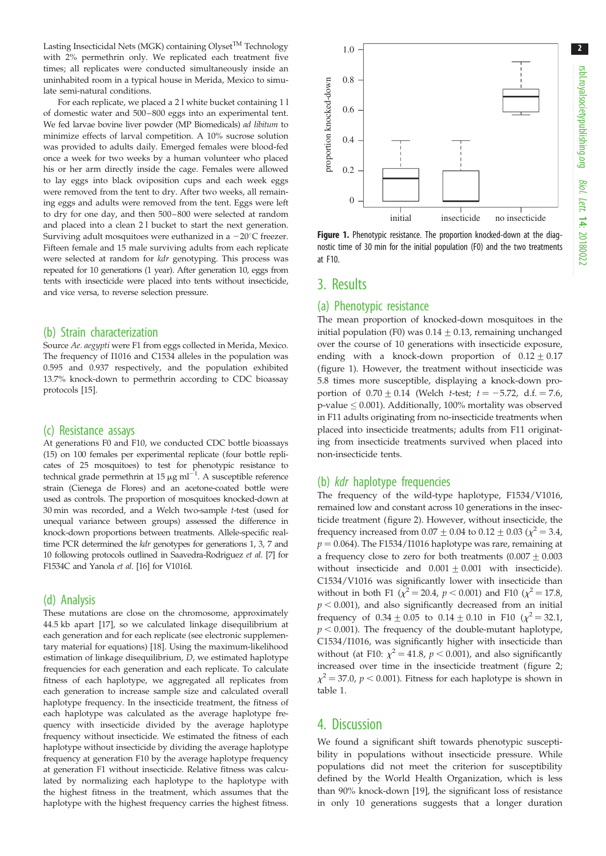2

Lasting Insecticidal Nets (MGK) containing Olyset<sup>TM</sup> Technology with 2% permethrin only. We replicated each treatment five times; all replicates were conducted simultaneously inside an uninhabited room in a typical house in Merida, Mexico to simulate semi-natural conditions.

For each replicate, we placed a 2 l white bucket containing 1 l of domestic water and 500 – 800 eggs into an experimental tent. We fed larvae bovine liver powder (MP Biomedicals) ad libitum to minimize effects of larval competition. A 10% sucrose solution was provided to adults daily. Emerged females were blood-fed once a week for two weeks by a human volunteer who placed his or her arm directly inside the cage. Females were allowed to lay eggs into black oviposition cups and each week eggs were removed from the tent to dry. After two weeks, all remaining eggs and adults were removed from the tent. Eggs were left to dry for one day, and then 500 – 800 were selected at random and placed into a clean 2 l bucket to start the next generation. Surviving adult mosquitoes were euthanized in a  $-20^{\circ}$ C freezer. Fifteen female and 15 male surviving adults from each replicate were selected at random for kdr genotyping. This process was repeated for 10 generations (1 year). After generation 10, eggs from tents with insecticide were placed into tents without insecticide, and vice versa, to reverse selection pressure.

#### (b) Strain characterization

Source Ae. aegypti were F1 from eggs collected in Merida, Mexico. The frequency of I1016 and C1534 alleles in the population was 0.595 and 0.937 respectively, and the population exhibited 13.7% knock-down to permethrin according to CDC bioassay protocols [\[15\]](#page-3-0).

#### (c) Resistance assays

At generations F0 and F10, we conducted CDC bottle bioassays (15) on 100 females per experimental replicate (four bottle replicates of 25 mosquitoes) to test for phenotypic resistance to technical grade permethrin at 15  $\mu$ g ml<sup>-1</sup>. A susceptible reference strain (Cienega de Flores) and an acetone-coated bottle were used as controls. The proportion of mosquitoes knocked-down at 30 min was recorded, and a Welch two-sample t-test (used for unequal variance between groups) assessed the difference in knock-down proportions between treatments. Allele-specific realtime PCR determined the kdr genotypes for generations 1, 3, 7 and 10 following protocols outlined in Saavedra-Rodriguez et al. [[7\]](#page-3-0) for F1534C and Yanola et al. [\[16](#page-3-0)] for V1016I.

### (d) Analysis

These mutations are close on the chromosome, approximately 44.5 kb apart [[17](#page-3-0)], so we calculated linkage disequilibrium at each generation and for each replicate (see electronic supplementary material for equations) [\[18\]](#page-3-0). Using the maximum-likelihood estimation of linkage disequilibrium, D, we estimated haplotype frequencies for each generation and each replicate. To calculate fitness of each haplotype, we aggregated all replicates from each generation to increase sample size and calculated overall haplotype frequency. In the insecticide treatment, the fitness of each haplotype was calculated as the average haplotype frequency with insecticide divided by the average haplotype frequency without insecticide. We estimated the fitness of each haplotype without insecticide by dividing the average haplotype frequency at generation F10 by the average haplotype frequency at generation F1 without insecticide. Relative fitness was calculated by normalizing each haplotype to the haplotype with the highest fitness in the treatment, which assumes that the haplotype with the highest frequency carries the highest fitness.



Figure 1. Phenotypic resistance. The proportion knocked-down at the diagnostic time of 30 min for the initial population (F0) and the two treatments at F10.

## 3. Results

## (a) Phenotypic resistance

The mean proportion of knocked-down mosquitoes in the initial population (F0) was  $0.14 \pm 0.13$ , remaining unchanged over the course of 10 generations with insecticide exposure, ending with a knock-down proportion of  $0.12 \pm 0.17$ (figure 1). However, the treatment without insecticide was 5.8 times more susceptible, displaying a knock-down proportion of  $0.70 \pm 0.14$  (Welch *t*-test;  $t = -5.72$ , d.f. = 7.6, p-value  $\leq$  0.001). Additionally, 100% mortality was observed in F11 adults originating from no-insecticide treatments when placed into insecticide treatments; adults from F11 originating from insecticide treatments survived when placed into non-insecticide tents.

### (b) kdr haplotype frequencies

The frequency of the wild-type haplotype, F1534/V1016, remained low and constant across 10 generations in the insecticide treatment [\(figure 2](#page-2-0)). However, without insecticide, the frequency increased from  $0.07 \pm 0.04$  to  $0.12 \pm 0.03$  ( $\chi^2 = 3.4$ ,  $p = 0.064$ ). The F1534/I1016 haplotype was rare, remaining at a frequency close to zero for both treatments  $(0.007 \pm 0.003$ without insecticide and  $0.001 \pm 0.001$  with insecticide). C1534/V1016 was significantly lower with insecticide than without in both F1 ( $\chi^2$  = 20.4, p < 0.001) and F10 ( $\chi^2$  = 17.8,  $p < 0.001$ ), and also significantly decreased from an initial frequency of  $0.34 \pm 0.05$  to  $0.14 \pm 0.10$  in F10 ( $\chi^2 = 32.1$ ,  $p < 0.001$ ). The frequency of the double-mutant haplotype, C1534/I1016, was significantly higher with insecticide than without (at F10:  $\chi^2$  = 41.8, p < 0.001), and also significantly increased over time in the insecticide treatment ([figure 2](#page-2-0);  $\chi^2$  = 37.0, p < 0.001). Fitness for each haplotype is shown in [table 1](#page-2-0).

## 4. Discussion

We found a significant shift towards phenotypic susceptibility in populations without insecticide pressure. While populations did not meet the criterion for susceptibility defined by the World Health Organization, which is less than 90% knock-down [\[19](#page-3-0)], the significant loss of resistance in only 10 generations suggests that a longer duration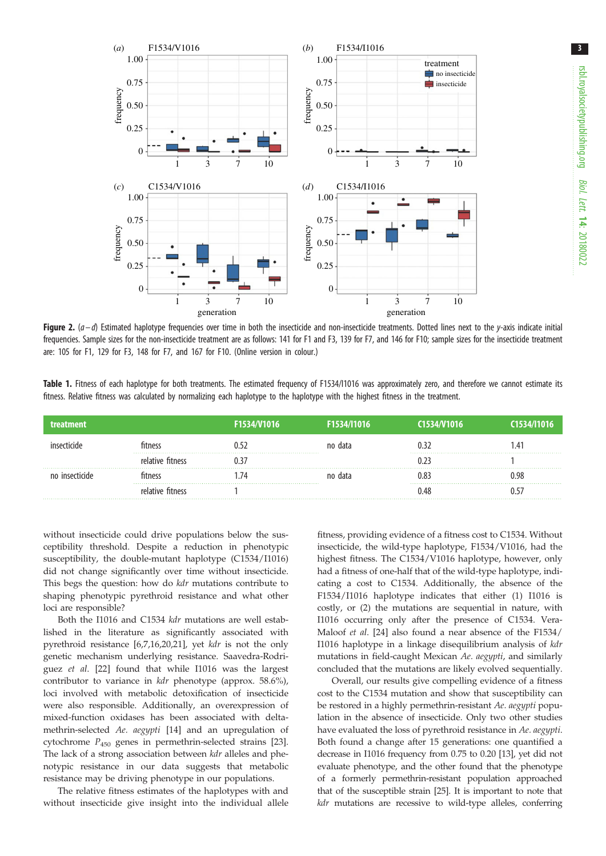<span id="page-2-0"></span>

Figure 2.  $(a-d)$  Estimated haplotype frequencies over time in both the insecticide and non-insecticide treatments. Dotted lines next to the y-axis indicate initial frequencies. Sample sizes for the non-insecticide treatment are as follows: 141 for F1 and F3, 139 for F7, and 146 for F10; sample sizes for the insecticide treatment are: 105 for F1, 129 for F3, 148 for F7, and 167 for F10. (Online version in colour.)

Table 1. Fitness of each haplotype for both treatments. The estimated frequency of F1534/1016 was approximately zero, and therefore we cannot estimate its fitness. Relative fitness was calculated by normalizing each haplotype to the haplotype with the highest fitness in the treatment.

|  | F1534/V1016 | F1534/I1016 |      | C <sub>1534</sub> /11016 |
|--|-------------|-------------|------|--------------------------|
|  |             | пата<br>no  |      | $1.4^{\circ}$            |
|  |             |             |      |                          |
|  |             | пата<br>no  |      | ).98                     |
|  |             |             | ነ 4۶ |                          |

without insecticide could drive populations below the susceptibility threshold. Despite a reduction in phenotypic susceptibility, the double-mutant haplotype (C1534/I1016) did not change significantly over time without insecticide. This begs the question: how do kdr mutations contribute to shaping phenotypic pyrethroid resistance and what other loci are responsible?

Both the I1016 and C1534 kdr mutations are well established in the literature as significantly associated with pyrethroid resistance [\[6,7](#page-3-0),[16,20,21](#page-3-0)], yet kdr is not the only genetic mechanism underlying resistance. Saavedra-Rodriguez et al. [\[22](#page-3-0)] found that while I1016 was the largest contributor to variance in kdr phenotype (approx. 58.6%), loci involved with metabolic detoxification of insecticide were also responsible. Additionally, an overexpression of mixed-function oxidases has been associated with deltamethrin-selected Ae. aegypti [\[14](#page-3-0)] and an upregulation of cytochrome  $P_{450}$  genes in permethrin-selected strains [\[23](#page-3-0)]. The lack of a strong association between kdr alleles and phenotypic resistance in our data suggests that metabolic resistance may be driving phenotype in our populations.

The relative fitness estimates of the haplotypes with and without insecticide give insight into the individual allele fitness, providing evidence of a fitness cost to C1534. Without insecticide, the wild-type haplotype, F1534/V1016, had the highest fitness. The C1534/V1016 haplotype, however, only had a fitness of one-half that of the wild-type haplotype, indicating a cost to C1534. Additionally, the absence of the F1534/I1016 haplotype indicates that either (1) I1016 is costly, or (2) the mutations are sequential in nature, with I1016 occurring only after the presence of C1534. Vera-Maloof et al. [[24](#page-3-0)] also found a near absence of the F1534/ I1016 haplotype in a linkage disequilibrium analysis of kdr mutations in field-caught Mexican Ae. aegypti, and similarly concluded that the mutations are likely evolved sequentially.

Overall, our results give compelling evidence of a fitness cost to the C1534 mutation and show that susceptibility can be restored in a highly permethrin-resistant Ae. aegypti population in the absence of insecticide. Only two other studies have evaluated the loss of pyrethroid resistance in Ae. aegypti. Both found a change after 15 generations: one quantified a decrease in I1016 frequency from 0.75 to 0.20 [\[13\]](#page-3-0), yet did not evaluate phenotype, and the other found that the phenotype of a formerly permethrin-resistant population approached that of the susceptible strain [\[25\]](#page-4-0). It is important to note that kdr mutations are recessive to wild-type alleles, conferring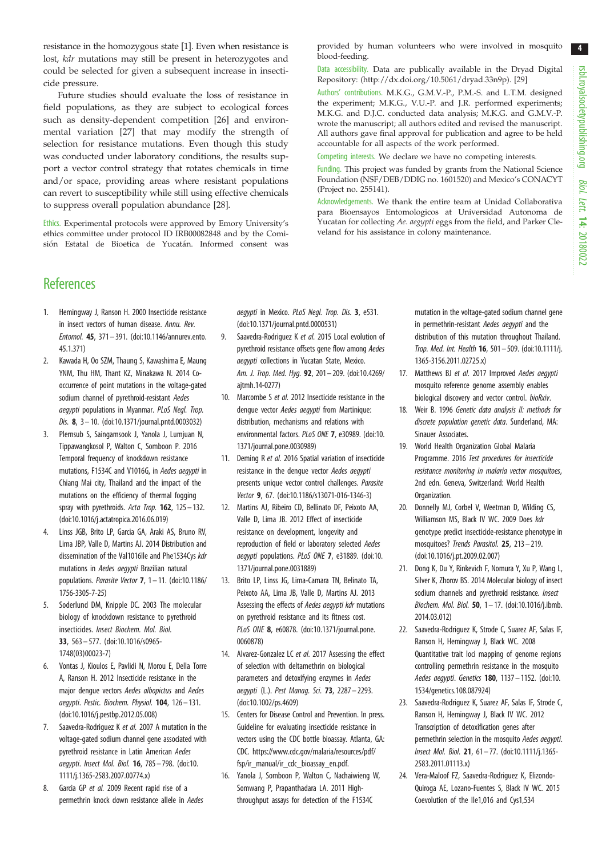4

<span id="page-3-0"></span>resistance in the homozygous state [1]. Even when resistance is lost, kdr mutations may still be present in heterozygotes and could be selected for given a subsequent increase in insecticide pressure.

Future studies should evaluate the loss of resistance in field populations, as they are subject to ecological forces such as density-dependent competition [\[26](#page-4-0)] and environmental variation [[27\]](#page-4-0) that may modify the strength of selection for resistance mutations. Even though this study was conducted under laboratory conditions, the results support a vector control strategy that rotates chemicals in time and/or space, providing areas where resistant populations can revert to susceptibility while still using effective chemicals to suppress overall population abundance [[28](#page-4-0)].

Ethics. Experimental protocols were approved by Emory University's ethics committee under protocol ID IRB00082848 and by the Comisión Estatal de Bioetica de Yucatán. Informed consent was provided by human volunteers who were involved in mosquito blood-feeding.

Data accessibility. Data are publically available in the Dryad Digital Repository: ([http://dx.doi.org/10.5061/dryad.33n9p\)](http://dx.doi.org/10.5061/dryad.33n9p). [[29\]](#page-4-0)

Authors' contributions. M.K.G., G.M.V.-P., P.M.-S. and L.T.M. designed the experiment; M.K.G., V.U.-P. and J.R. performed experiments; M.K.G. and D.J.C. conducted data analysis; M.K.G. and G.M.V.-P. wrote the manuscript; all authors edited and revised the manuscript. All authors gave final approval for publication and agree to be held accountable for all aspects of the work performed.

Competing interests. We declare we have no competing interests.

Funding. This project was funded by grants from the National Science Foundation (NSF/DEB/DDIG no. 1601520) and Mexico's CONACYT (Project no. 255141).

Acknowledgements. We thank the entire team at Unidad Collaborativa para Bioensayos Entomologicos at Universidad Autonoma de Yucatan for collecting Ae. aegypti eggs from the field, and Parker Cleveland for his assistance in colony maintenance.

# **References**

- 1. Hemingway J, Ranson H. 2000 Insecticide resistance in insect vectors of human disease. Annu. Rev. Entomol. 45, 371 – 391. ([doi:10.1146/annurev.ento.](http://dx.doi.org/10.1146/annurev.ento.45.1.371) [45.1.371\)](http://dx.doi.org/10.1146/annurev.ento.45.1.371)
- 2. Kawada H, Oo SZM, Thaung S, Kawashima E, Maung YNM, Thu HM, Thant KZ, Minakawa N. 2014 Cooccurrence of point mutations in the voltage-gated sodium channel of pyrethroid-resistant Aedes aegypti populations in Myanmar. PLoS Negl. Trop. Dis. 8, 3– 10. ([doi:10.1371/journal.pntd.0003032](http://dx.doi.org/10.1371/journal.pntd.0003032))
- 3. Plernsub S, Saingamsook J, Yanola J, Lumjuan N, Tippawangkosol P, Walton C, Somboon P. 2016 Temporal frequency of knockdown resistance mutations, F1534C and V1016G, in Aedes aegypti in Chiang Mai city, Thailand and the impact of the mutations on the efficiency of thermal fogging spray with pyrethroids. Acta Trop.  $162$ ,  $125 - 132$ . [\(doi:10.1016/j.actatropica.2016.06.019](http://dx.doi.org/10.1016/j.actatropica.2016.06.019))
- 4. Linss JGB, Brito LP, Garcia GA, Araki AS, Bruno RV, Lima JBP, Valle D, Martins AJ. 2014 Distribution and dissemination of the Val1016Ile and Phe1534Cys kdr mutations in Aedes aegypti Brazilian natural populations. Parasite Vector 7, 1– 11. ([doi:10.1186/](http://dx.doi.org/10.1186/1756-3305-7-25) [1756-3305-7-25\)](http://dx.doi.org/10.1186/1756-3305-7-25)
- 5. Soderlund DM, Knipple DC. 2003 The molecular biology of knockdown resistance to pyrethroid insecticides. Insect Biochem. Mol. Biol. 33, 563 – 577. ([doi:10.1016/s0965-](http://dx.doi.org/10.1016/s0965-1748(03)00023-7) [1748\(03\)00023-7\)](http://dx.doi.org/10.1016/s0965-1748(03)00023-7)
- 6. Vontas J, Kioulos E, Pavlidi N, Morou E, Della Torre A, Ranson H. 2012 Insecticide resistance in the major dengue vectors Aedes albopictus and Aedes aegypti. Pestic. Biochem. Physiol. 104, 126 - 131. [\(doi:10.1016/j.pestbp.2012.05.008](http://dx.doi.org/10.1016/j.pestbp.2012.05.008))
- 7. Saavedra-Rodriguez K et al. 2007 A mutation in the voltage-gated sodium channel gene associated with pyrethroid resistance in Latin American Aedes aegypti. Insect Mol. Biol. 16, 785– 798. [\(doi:10.](http://dx.doi.org/10.1111/j.1365-2583.2007.00774.x) [1111/j.1365-2583.2007.00774.x](http://dx.doi.org/10.1111/j.1365-2583.2007.00774.x))
- 8. Garcia GP et al. 2009 Recent rapid rise of a permethrin knock down resistance allele in Aedes

aegypti in Mexico. PLoS Negl. Trop. Dis. 3, e531. [\(doi:10.1371/journal.pntd.0000531\)](http://dx.doi.org/10.1371/journal.pntd.0000531)

- 9. Saavedra-Rodriguez K et al. 2015 Local evolution of pyrethroid resistance offsets gene flow among Aedes aegypti collections in Yucatan State, Mexico. Am. J. Trop. Med. Hyg. 92, 201 – 209. [\(doi:10.4269/](http://dx.doi.org/10.4269/ajtmh.14-0277) [ajtmh.14-0277](http://dx.doi.org/10.4269/ajtmh.14-0277))
- 10. Marcombe S et al. 2012 Insecticide resistance in the dengue vector Aedes aegypti from Martinique: distribution, mechanisms and relations with environmental factors. PLoS ONE 7, e30989. [\(doi:10.](http://dx.doi.org/10.1371/journal.pone.0030989) [1371/journal.pone.0030989\)](http://dx.doi.org/10.1371/journal.pone.0030989)
- 11. Deming R et al. 2016 Spatial variation of insecticide resistance in the dengue vector Aedes aegypti presents unique vector control challenges. Parasite Vector 9, 67. ([doi:10.1186/s13071-016-1346-3\)](http://dx.doi.org/10.1186/s13071-016-1346-3)
- 12. Martins AJ, Ribeiro CD, Bellinato DF, Peixoto AA, Valle D, Lima JB. 2012 Effect of insecticide resistance on development, longevity and reproduction of field or laboratory selected Aedes aegypti populations. PLoS ONE 7, e31889. ([doi:10.](http://dx.doi.org/10.1371/journal.pone.0031889) [1371/journal.pone.0031889\)](http://dx.doi.org/10.1371/journal.pone.0031889)
- 13. Brito LP, Linss JG, Lima-Camara TN, Belinato TA, Peixoto AA, Lima JB, Valle D, Martins AJ. 2013 Assessing the effects of Aedes aegypti kdr mutations on pyrethroid resistance and its fitness cost. PLoS ONE 8, e60878. ([doi:10.1371/journal.pone.](http://dx.doi.org/10.1371/journal.pone.0060878) [0060878\)](http://dx.doi.org/10.1371/journal.pone.0060878)
- 14. Alvarez-Gonzalez LC et al. 2017 Assessing the effect of selection with deltamethrin on biological parameters and detoxifying enzymes in Aedes aegypti (L.). Pest Manag. Sci. **73**, 2287 - 2293. [\(doi:10.1002/ps.4609\)](http://dx.doi.org/10.1002/ps.4609)
- 15. Centers for Disease Control and Prevention. In press. Guideline for evaluating insecticide resistance in vectors using the CDC bottle bioassay. Atlanta, GA: CDC. [https://www.cdc.gov/malaria/resources/pdf/](https://www.cdc.gov/malaria/resources/pdf/fsp/ir_manual/ir_cdc_bioassay_en.pdf) [fsp/ir\\_manual/ir\\_cdc\\_bioassay\\_en.pdf](https://www.cdc.gov/malaria/resources/pdf/fsp/ir_manual/ir_cdc_bioassay_en.pdf).
- 16. Yanola J, Somboon P, Walton C, Nachaiwieng W, Somwang P, Prapanthadara LA. 2011 Highthroughput assays for detection of the F1534C

mutation in the voltage-gated sodium channel gene in permethrin-resistant Aedes aegypti and the distribution of this mutation throughout Thailand. Trop. Med. Int. Health 16, 501 – 509. ([doi:10.1111/j.](http://dx.doi.org/10.1111/j.1365-3156.2011.02725.x) [1365-3156.2011.02725.x\)](http://dx.doi.org/10.1111/j.1365-3156.2011.02725.x)

- 17. Matthews BJ et al. 2017 Improved Aedes aegypti mosquito reference genome assembly enables biological discovery and vector control. bioRxiv.
- 18. Weir B. 1996 Genetic data analysis II: methods for discrete population genetic data. Sunderland, MA: Sinauer Associates.
- 19. World Health Organization Global Malaria Programme. 2016 Test procedures for insecticide resistance monitoring in malaria vector mosquitoes, 2nd edn. Geneva, Switzerland: World Health Organization.
- 20. Donnelly MJ, Corbel V, Weetman D, Wilding CS, Williamson MS, Black IV WC. 2009 Does kdr genotype predict insecticide-resistance phenotype in mosquitoes? Trends Parasitol. 25, 213-219. ([doi:10.1016/j.pt.2009.02.007](http://dx.doi.org/10.1016/j.pt.2009.02.007))
- 21. Dong K, Du Y, Rinkevich F, Nomura Y, Xu P, Wang L, Silver K, Zhorov BS. 2014 Molecular biology of insect sodium channels and pyrethroid resistance. Insect Biochem. Mol. Biol. 50, 1– 17. ([doi:10.1016/j.ibmb.](http://dx.doi.org/10.1016/j.ibmb.2014.03.012) [2014.03.012](http://dx.doi.org/10.1016/j.ibmb.2014.03.012))
- 22. Saavedra-Rodriguez K, Strode C, Suarez AF, Salas IF, Ranson H, Hemingway J, Black WC. 2008 Quantitative trait loci mapping of genome regions controlling permethrin resistance in the mosquito Aedes aegypti. Genetics 180, 1137 – 1152. [\(doi:10.](http://dx.doi.org/10.1534/genetics.108.087924) [1534/genetics.108.087924\)](http://dx.doi.org/10.1534/genetics.108.087924)
- 23. Saavedra-Rodriguez K, Suarez AF, Salas IF, Strode C, Ranson H, Hemingway J, Black IV WC. 2012 Transcription of detoxification genes after permethrin selection in the mosquito Aedes aegypti. Insect Mol. Biol. 21, 61– 77. ([doi:10.1111/j.1365-](http://dx.doi.org/10.1111/j.1365-2583.2011.01113.x) [2583.2011.01113.x\)](http://dx.doi.org/10.1111/j.1365-2583.2011.01113.x)
- 24. Vera-Maloof FZ, Saavedra-Rodriguez K, Elizondo-Quiroga AE, Lozano-Fuentes S, Black IV WC. 2015 Coevolution of the Ile1,016 and Cys1,534